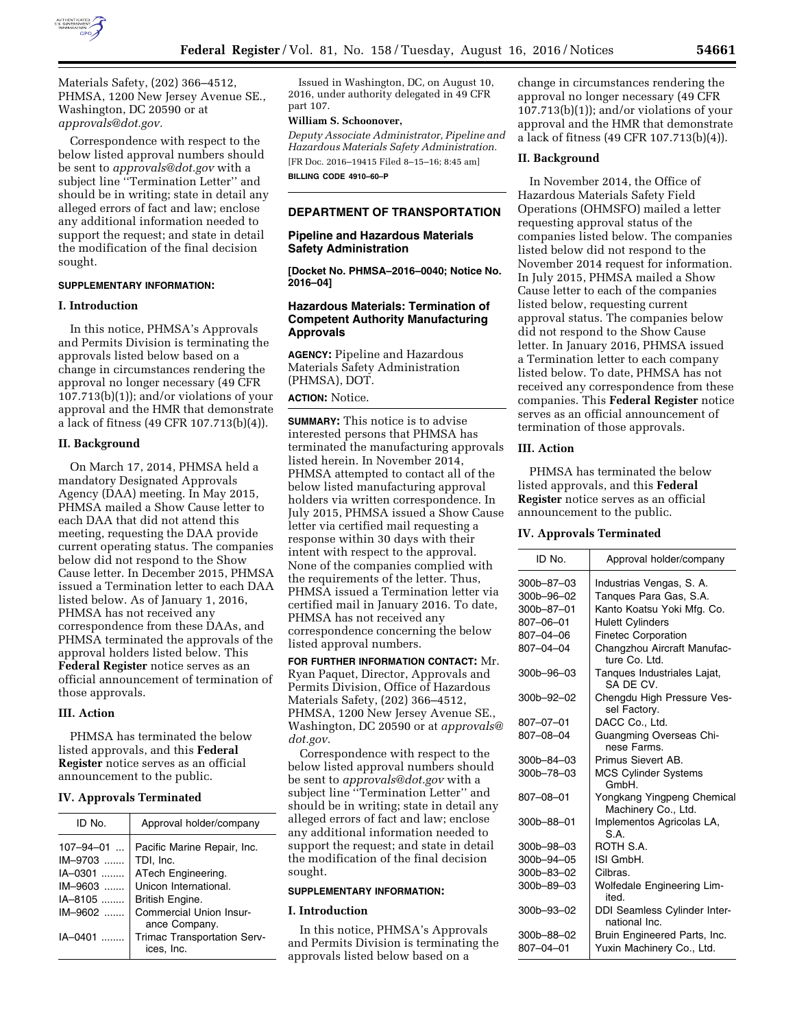

Materials Safety, (202) 366–4512, PHMSA, 1200 New Jersey Avenue SE., Washington, DC 20590 or at *approvals@dot.gov.* 

Correspondence with respect to the below listed approval numbers should be sent to *approvals@dot.gov* with a subject line ''Termination Letter'' and should be in writing; state in detail any alleged errors of fact and law; enclose any additional information needed to support the request; and state in detail the modification of the final decision sought.

## **SUPPLEMENTARY INFORMATION:**

### **I. Introduction**

In this notice, PHMSA's Approvals and Permits Division is terminating the approvals listed below based on a change in circumstances rendering the approval no longer necessary (49 CFR 107.713(b)(1)); and/or violations of your approval and the HMR that demonstrate a lack of fitness (49 CFR 107.713(b)(4)).

#### **II. Background**

On March 17, 2014, PHMSA held a mandatory Designated Approvals Agency (DAA) meeting. In May 2015, PHMSA mailed a Show Cause letter to each DAA that did not attend this meeting, requesting the DAA provide current operating status. The companies below did not respond to the Show Cause letter. In December 2015, PHMSA issued a Termination letter to each DAA listed below. As of January 1, 2016, PHMSA has not received any correspondence from these DAAs, and PHMSA terminated the approvals of the approval holders listed below. This **Federal Register** notice serves as an official announcement of termination of those approvals.

#### **III. Action**

PHMSA has terminated the below listed approvals, and this **Federal Register** notice serves as an official announcement to the public.

### **IV. Approvals Terminated**

| ID No.                                      | Approval holder/company                                        |
|---------------------------------------------|----------------------------------------------------------------|
| $107 - 94 - 01$<br>$IM-9703$<br>$IA - 0301$ | Pacific Marine Repair, Inc.<br>TDI, Inc.<br>ATech Engineering. |
| $IM - 9603$                                 | Unicon International.                                          |
| IA-8105                                     | British Engine.                                                |
| $IM - 9602$                                 | Commercial Union Insur-<br>ance Company.                       |
| IA-0401                                     | Trimac Transportation Serv-<br>ices. Inc.                      |

Issued in Washington, DC, on August 10, 2016, under authority delegated in 49 CFR part 107.

### **William S. Schoonover,**

*Deputy Associate Administrator, Pipeline and Hazardous Materials Safety Administration.*  [FR Doc. 2016–19415 Filed 8–15–16; 8:45 am] **BILLING CODE 4910–60–P** 

#### **DEPARTMENT OF TRANSPORTATION**

# **Pipeline and Hazardous Materials Safety Administration**

**[Docket No. PHMSA–2016–0040; Notice No. 2016–04]** 

### **Hazardous Materials: Termination of Competent Authority Manufacturing Approvals**

**AGENCY:** Pipeline and Hazardous Materials Safety Administration (PHMSA), DOT.

## **ACTION:** Notice.

**SUMMARY:** This notice is to advise interested persons that PHMSA has terminated the manufacturing approvals listed herein. In November 2014, PHMSA attempted to contact all of the below listed manufacturing approval holders via written correspondence. In July 2015, PHMSA issued a Show Cause letter via certified mail requesting a response within 30 days with their intent with respect to the approval. None of the companies complied with the requirements of the letter. Thus, PHMSA issued a Termination letter via certified mail in January 2016. To date, PHMSA has not received any correspondence concerning the below listed approval numbers.

**FOR FURTHER INFORMATION CONTACT:** Mr. Ryan Paquet, Director, Approvals and Permits Division, Office of Hazardous Materials Safety, (202) 366–4512, PHMSA, 1200 New Jersey Avenue SE., Washington, DC 20590 or at *approvals@ dot.gov.* 

Correspondence with respect to the below listed approval numbers should be sent to *approvals@dot.gov* with a subject line ''Termination Letter'' and should be in writing; state in detail any alleged errors of fact and law; enclose any additional information needed to support the request; and state in detail the modification of the final decision sought.

### **SUPPLEMENTARY INFORMATION:**

#### **I. Introduction**

In this notice, PHMSA's Approvals and Permits Division is terminating the approvals listed below based on a

change in circumstances rendering the approval no longer necessary (49 CFR 107.713(b)(1)); and/or violations of your approval and the HMR that demonstrate a lack of fitness (49 CFR 107.713(b)(4)).

#### **II. Background**

In November 2014, the Office of Hazardous Materials Safety Field Operations (OHMSFO) mailed a letter requesting approval status of the companies listed below. The companies listed below did not respond to the November 2014 request for information. In July 2015, PHMSA mailed a Show Cause letter to each of the companies listed below, requesting current approval status. The companies below did not respond to the Show Cause letter. In January 2016, PHMSA issued a Termination letter to each company listed below. To date, PHMSA has not received any correspondence from these companies. This **Federal Register** notice serves as an official announcement of termination of those approvals.

### **III. Action**

PHMSA has terminated the below listed approvals, and this **Federal Register** notice serves as an official announcement to the public.

#### **IV. Approvals Terminated**

| ID No.     | Approval holder/company                           |
|------------|---------------------------------------------------|
| 300b-87-03 | Industrias Vengas, S. A.                          |
| 300b-96-02 | Tanques Para Gas, S.A.                            |
| 300b-87-01 | Kanto Koatsu Yoki Mfg. Co.                        |
| 807–06–01  | <b>Hulett Cylinders</b>                           |
| 807–04–06  | <b>Finetec Corporation</b>                        |
| 807-04-04  | Changzhou Aircraft Manufac-<br>ture Co. Ltd.      |
| 300b-96-03 | Tanques Industriales Lajat,<br>SA DE CV.          |
| 300b-92-02 | Chengdu High Pressure Ves-<br>sel Factory.        |
| 807-07-01  | DACC Co., Ltd.                                    |
| 807-08-04  | Guangming Overseas Chi-<br>nese Farms.            |
| 300b-84-03 | Primus Sievert AB.                                |
| 300b-78-03 | <b>MCS Cylinder Systems</b><br>GmbH.              |
| 807–08–01  | Yongkang Yingpeng Chemical<br>Machinery Co., Ltd. |
| 300b-88-01 | Implementos Agricolas LA,<br>S.A.                 |
| 300b-98-03 | ROTH S.A.                                         |
| 300b-94-05 | ISI GmbH.                                         |
| 300b-83-02 | Cilbras.                                          |
| 300b-89-03 | Wolfedale Engineering Lim-<br>ited.               |
| 300b-93-02 | DDI Seamless Cylinder Inter-<br>national Inc.     |
| 300b-88-02 | Bruin Engineered Parts, Inc.                      |
| 807–04–01  | Yuxin Machinery Co., Ltd.                         |